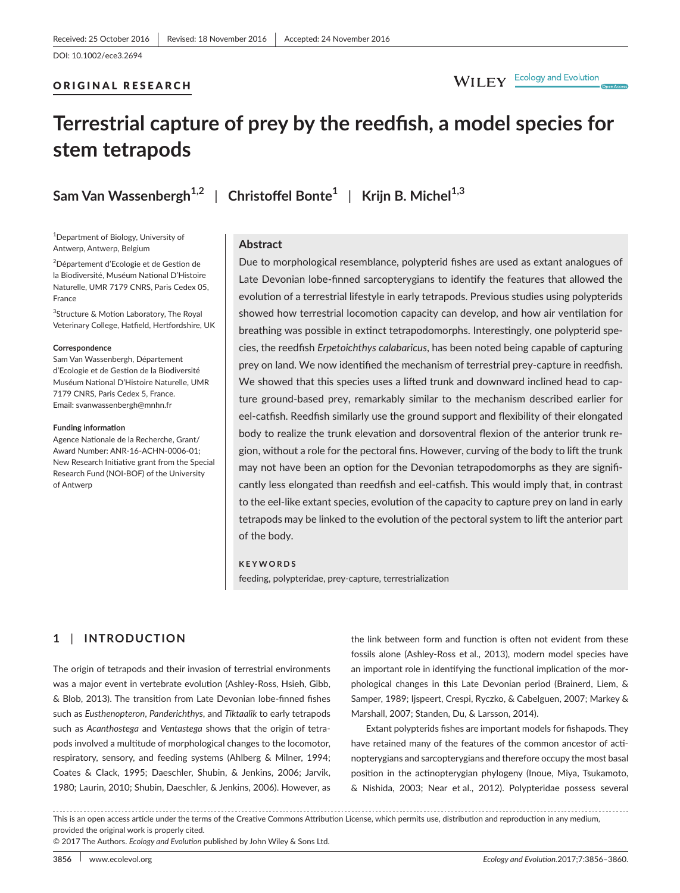# ORIGINAL RESEARCH

# WILEY Ecology and Evolution

# **Terrestrial capture of prey by the reedfish, a model species for stem tetrapods**

**Sam Van Wassenbergh1,2** | **Christoffel Bonte<sup>1</sup>** | **Krijn B. Michel1,3**

<sup>1</sup>Department of Biology, University of Antwerp, Antwerp, Belgium

2 Département d'Ecologie et de Gestion de la Biodiversité, Muséum National D'Histoire Naturelle, UMR 7179 CNRS, Paris Cedex 05, France

3 Structure & Motion Laboratory, The Royal Veterinary College, Hatfield, Hertfordshire, UK

#### **Correspondence**

Sam Van Wassenbergh, Département d'Ecologie et de Gestion de la Biodiversité Muséum National D'Histoire Naturelle, UMR 7179 CNRS, Paris Cedex 5, France. Email: [svanwassenbergh@mnhn.fr](mailto:svanwassenbergh@mnhn.fr)

#### **Funding information**

Agence Nationale de la Recherche, Grant/ Award Number: ANR-16-ACHN-0006-01; New Research Initiative grant from the Special Research Fund (NOI-BOF) of the University of Antwerp

## **Abstract**

Due to morphological resemblance, polypterid fishes are used as extant analogues of Late Devonian lobe-finned sarcopterygians to identify the features that allowed the evolution of a terrestrial lifestyle in early tetrapods. Previous studies using polypterids showed how terrestrial locomotion capacity can develop, and how air ventilation for breathing was possible in extinct tetrapodomorphs. Interestingly, one polypterid species, the reedfish *Erpetoichthys calabaricus*, has been noted being capable of capturing prey on land. We now identified the mechanism of terrestrial prey-capture in reedfish. We showed that this species uses a lifted trunk and downward inclined head to capture ground-based prey, remarkably similar to the mechanism described earlier for eel-catfish. Reedfish similarly use the ground support and flexibility of their elongated body to realize the trunk elevation and dorsoventral flexion of the anterior trunk region, without a role for the pectoral fins. However, curving of the body to lift the trunk may not have been an option for the Devonian tetrapodomorphs as they are significantly less elongated than reedfish and eel-catfish. This would imply that, in contrast to the eel-like extant species, evolution of the capacity to capture prey on land in early tetrapods may be linked to the evolution of the pectoral system to lift the anterior part of the body.

### **KEYWORDS**

feeding, polypteridae, prey-capture, terrestrialization

# **1** | **INTRODUCTION**

The origin of tetrapods and their invasion of terrestrial environments was a major event in vertebrate evolution (Ashley-Ross, Hsieh, Gibb, & Blob, 2013). The transition from Late Devonian lobe-finned fishes such as *Eusthenopteron*, *Panderichthys*, and *Tiktaalik* to early tetrapods such as *Acanthostega* and *Ventastega* shows that the origin of tetrapods involved a multitude of morphological changes to the locomotor, respiratory, sensory, and feeding systems (Ahlberg & Milner, 1994; Coates & Clack, 1995; Daeschler, Shubin, & Jenkins, 2006; Jarvik, 1980; Laurin, 2010; Shubin, Daeschler, & Jenkins, 2006). However, as the link between form and function is often not evident from these fossils alone (Ashley-Ross et al., 2013), modern model species have an important role in identifying the functional implication of the morphological changes in this Late Devonian period (Brainerd, Liem, & Samper, 1989; Ijspeert, Crespi, Ryczko, & Cabelguen, 2007; Markey & Marshall, 2007; Standen, Du, & Larsson, 2014).

Extant polypterids fishes are important models for fishapods. They have retained many of the features of the common ancestor of actinopterygians and sarcopterygians and therefore occupy the most basal position in the actinopterygian phylogeny (Inoue, Miya, Tsukamoto, & Nishida, 2003; Near et al., 2012). Polypteridae possess several

. . . . . . . . . . . . This is an open access article under the terms of the [Creative Commons Attribution](http://creativecommons.org/licenses/by/4.0/) License, which permits use, distribution and reproduction in any medium, provided the original work is properly cited.

© 2017 The Authors. *Ecology and Evolution* published by John Wiley & Sons Ltd.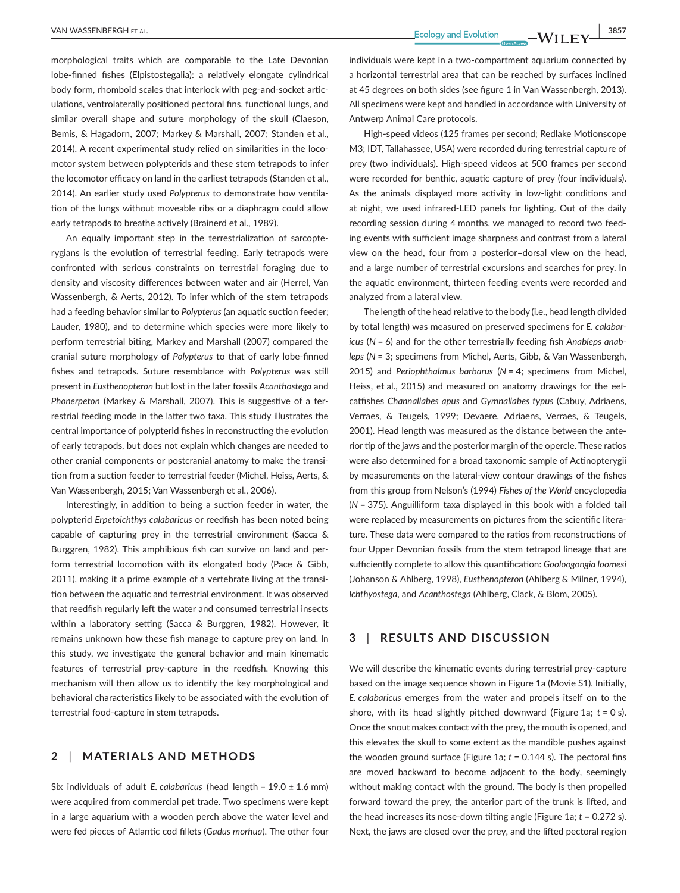morphological traits which are comparable to the Late Devonian lobe-finned fishes (Elpistostegalia): a relatively elongate cylindrical body form, rhomboid scales that interlock with peg-and-socket articulations, ventrolaterally positioned pectoral fins, functional lungs, and similar overall shape and suture morphology of the skull (Claeson, Bemis, & Hagadorn, 2007; Markey & Marshall, 2007; Standen et al., 2014). A recent experimental study relied on similarities in the locomotor system between polypterids and these stem tetrapods to infer the locomotor efficacy on land in the earliest tetrapods (Standen et al., 2014). An earlier study used *Polypterus* to demonstrate how ventilation of the lungs without moveable ribs or a diaphragm could allow early tetrapods to breathe actively (Brainerd et al., 1989).

An equally important step in the terrestrialization of sarcopterygians is the evolution of terrestrial feeding. Early tetrapods were confronted with serious constraints on terrestrial foraging due to density and viscosity differences between water and air (Herrel, Van Wassenbergh, & Aerts, 2012). To infer which of the stem tetrapods had a feeding behavior similar to *Polypterus* (an aquatic suction feeder; Lauder, 1980), and to determine which species were more likely to perform terrestrial biting, Markey and Marshall (2007) compared the cranial suture morphology of *Polypterus* to that of early lobe-finned fishes and tetrapods. Suture resemblance with *Polypterus* was still present in *Eusthenopteron* but lost in the later fossils *Acanthostega* and *Phonerpeton* (Markey & Marshall, 2007). This is suggestive of a terrestrial feeding mode in the latter two taxa. This study illustrates the central importance of polypterid fishes in reconstructing the evolution of early tetrapods, but does not explain which changes are needed to other cranial components or postcranial anatomy to make the transition from a suction feeder to terrestrial feeder (Michel, Heiss, Aerts, & Van Wassenbergh, 2015; Van Wassenbergh et al., 2006).

Interestingly, in addition to being a suction feeder in water, the polypterid *Erpetoichthys calabaricus* or reedfish has been noted being capable of capturing prey in the terrestrial environment (Sacca & Burggren, 1982). This amphibious fish can survive on land and perform terrestrial locomotion with its elongated body (Pace & Gibb, 2011), making it a prime example of a vertebrate living at the transition between the aquatic and terrestrial environment. It was observed that reedfish regularly left the water and consumed terrestrial insects within a laboratory setting (Sacca & Burggren, 1982). However, it remains unknown how these fish manage to capture prey on land. In this study, we investigate the general behavior and main kinematic features of terrestrial prey-capture in the reedfish. Knowing this mechanism will then allow us to identify the key morphological and behavioral characteristics likely to be associated with the evolution of terrestrial food-capture in stem tetrapods.

# **2** | **MATERIALS AND METHODS**

Six individuals of adult *E. calabaricus* (head length = 19.0 ± 1.6 mm) were acquired from commercial pet trade. Two specimens were kept in a large aquarium with a wooden perch above the water level and were fed pieces of Atlantic cod fillets (*Gadus morhua*). The other four

individuals were kept in a two-compartment aquarium connected by a horizontal terrestrial area that can be reached by surfaces inclined at 45 degrees on both sides (see figure 1 in Van Wassenbergh, 2013). All specimens were kept and handled in accordance with University of Antwerp Animal Care protocols.

High-speed videos (125 frames per second; Redlake Motionscope M3; IDT, Tallahassee, USA) were recorded during terrestrial capture of prey (two individuals). High-speed videos at 500 frames per second were recorded for benthic, aquatic capture of prey (four individuals). As the animals displayed more activity in low-light conditions and at night, we used infrared-LED panels for lighting. Out of the daily recording session during 4 months, we managed to record two feeding events with sufficient image sharpness and contrast from a lateral view on the head, four from a posterior–dorsal view on the head, and a large number of terrestrial excursions and searches for prey. In the aquatic environment, thirteen feeding events were recorded and analyzed from a lateral view.

The length of the head relative to the body (i.e., head length divided by total length) was measured on preserved specimens for *E. calabaricus* (*N* = 6) and for the other terrestrially feeding fish *Anableps anableps* (*N* = 3; specimens from Michel, Aerts, Gibb, & Van Wassenbergh, 2015) and *Periophthalmus barbarus* (*N* = 4; specimens from Michel, Heiss, et al., 2015) and measured on anatomy drawings for the eelcatfishes *Channallabes apus* and *Gymnallabes typus* (Cabuy, Adriaens, Verraes, & Teugels, 1999; Devaere, Adriaens, Verraes, & Teugels, 2001). Head length was measured as the distance between the anterior tip of the jaws and the posterior margin of the opercle. These ratios were also determined for a broad taxonomic sample of Actinopterygii by measurements on the lateral-view contour drawings of the fishes from this group from Nelson's (1994) *Fishes of the World* encyclopedia (*N* = 375). Anguilliform taxa displayed in this book with a folded tail were replaced by measurements on pictures from the scientific literature. These data were compared to the ratios from reconstructions of four Upper Devonian fossils from the stem tetrapod lineage that are sufficiently complete to allow this quantification: *Gooloogongia loomesi* (Johanson & Ahlberg, 1998), *Eusthenopteron* (Ahlberg & Milner, 1994), *Ichthyostega*, and *Acanthostega* (Ahlberg, Clack, & Blom, 2005).

# **3** | **RESULTS AND DISCUSSION**

We will describe the kinematic events during terrestrial prey-capture based on the image sequence shown in Figure 1a (Movie S1). Initially, *E. calabaricus* emerges from the water and propels itself on to the shore, with its head slightly pitched downward (Figure 1a; *t* = 0 s). Once the snout makes contact with the prey, the mouth is opened, and this elevates the skull to some extent as the mandible pushes against the wooden ground surface (Figure 1a; *t* = 0.144 s). The pectoral fins are moved backward to become adjacent to the body, seemingly without making contact with the ground. The body is then propelled forward toward the prey, the anterior part of the trunk is lifted, and the head increases its nose-down tilting angle (Figure 1a; *t* = 0.272 s). Next, the jaws are closed over the prey, and the lifted pectoral region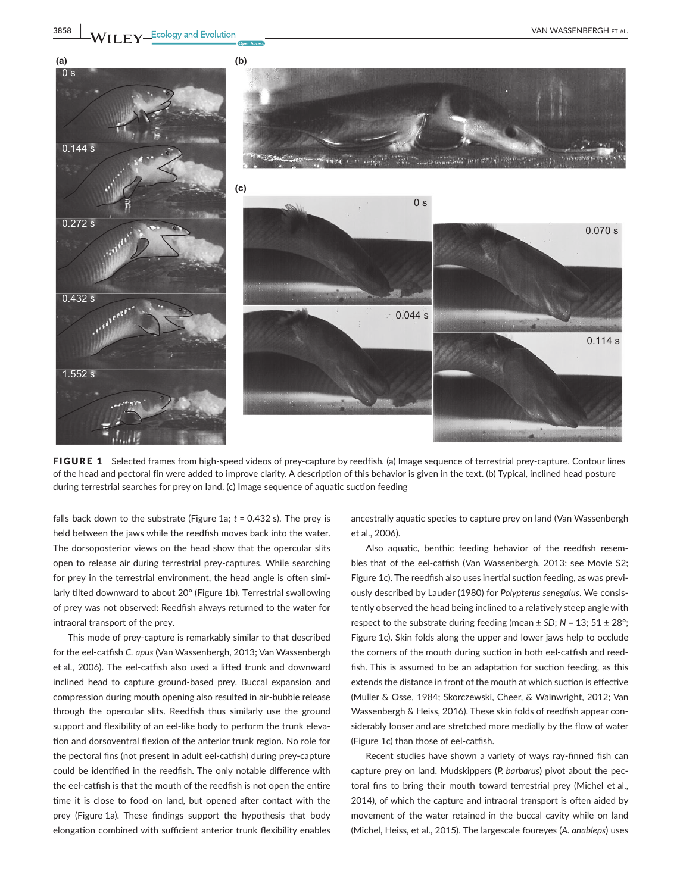

FIGURE 1 Selected frames from high-speed videos of prey-capture by reedfish*.* (a) Image sequence of terrestrial prey-capture. Contour lines of the head and pectoral fin were added to improve clarity. A description of this behavior is given in the text. (b) Typical, inclined head posture during terrestrial searches for prey on land. (c) Image sequence of aquatic suction feeding

falls back down to the substrate (Figure 1a; *t* = 0.432 s). The prey is held between the jaws while the reedfish moves back into the water. The dorsoposterior views on the head show that the opercular slits open to release air during terrestrial prey-captures. While searching for prey in the terrestrial environment, the head angle is often similarly tilted downward to about 20° (Figure 1b). Terrestrial swallowing of prey was not observed: Reedfish always returned to the water for intraoral transport of the prey.

This mode of prey-capture is remarkably similar to that described for the eel-catfish *C. apus* (Van Wassenbergh, 2013; Van Wassenbergh et al., 2006). The eel-catfish also used a lifted trunk and downward inclined head to capture ground-based prey. Buccal expansion and compression during mouth opening also resulted in air-bubble release through the opercular slits. Reedfish thus similarly use the ground support and flexibility of an eel-like body to perform the trunk elevation and dorsoventral flexion of the anterior trunk region. No role for the pectoral fins (not present in adult eel-catfish) during prey-capture could be identified in the reedfish. The only notable difference with the eel-catfish is that the mouth of the reedfish is not open the entire time it is close to food on land, but opened after contact with the prey (Figure 1a). These findings support the hypothesis that body elongation combined with sufficient anterior trunk flexibility enables

ancestrally aquatic species to capture prey on land (Van Wassenbergh et al., 2006).

Also aquatic, benthic feeding behavior of the reedfish resembles that of the eel-catfish (Van Wassenbergh, 2013; see Movie S2; Figure 1c). The reedfish also uses inertial suction feeding, as was previously described by Lauder (1980) for *Polypterus senegalus*. We consistently observed the head being inclined to a relatively steep angle with respect to the substrate during feeding (mean  $\pm$  SD;  $N = 13$ ; 51  $\pm$  28°; Figure 1c). Skin folds along the upper and lower jaws help to occlude the corners of the mouth during suction in both eel-catfish and reedfish. This is assumed to be an adaptation for suction feeding, as this extends the distance in front of the mouth at which suction is effective (Muller & Osse, 1984; Skorczewski, Cheer, & Wainwright, 2012; Van Wassenbergh & Heiss, 2016). These skin folds of reedfish appear considerably looser and are stretched more medially by the flow of water (Figure 1c) than those of eel-catfish.

Recent studies have shown a variety of ways ray-finned fish can capture prey on land. Mudskippers (*P. barbarus*) pivot about the pectoral fins to bring their mouth toward terrestrial prey (Michel et al., 2014), of which the capture and intraoral transport is often aided by movement of the water retained in the buccal cavity while on land (Michel, Heiss, et al., 2015). The largescale foureyes (*A. anableps*) uses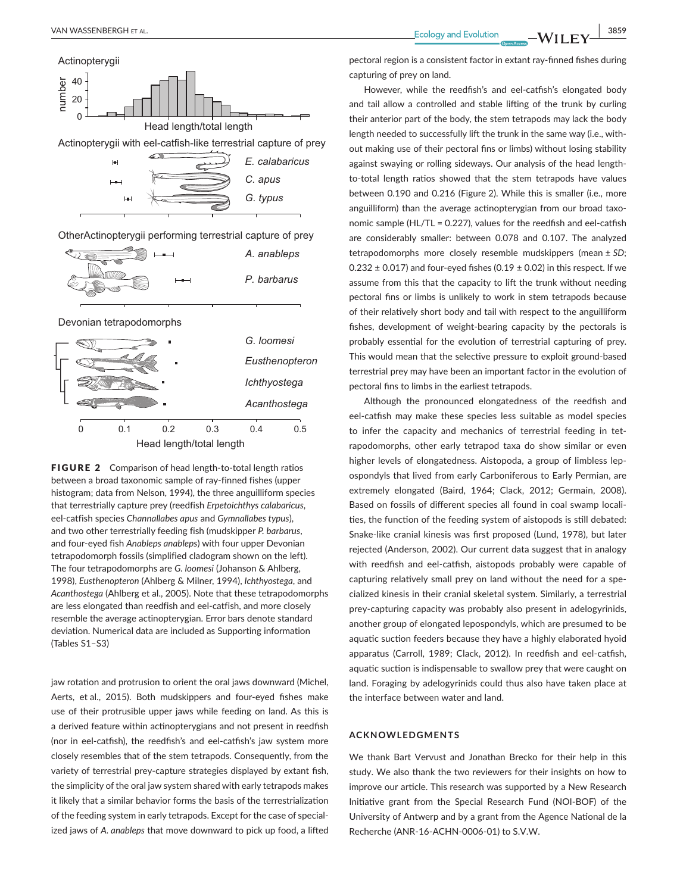

FIGURE 2 Comparison of head length-to-total length ratios between a broad taxonomic sample of ray-finned fishes (upper histogram; data from Nelson, 1994), the three anguilliform species that terrestrially capture prey (reedfish *Erpetoichthys calabaricus*, eel-catfish species *Channallabes apus* and *Gymnallabes typus*), and two other terrestrially feeding fish (mudskipper *P. barbarus*, and four-eyed fish *Anableps anableps*) with four upper Devonian tetrapodomorph fossils (simplified cladogram shown on the left). The four tetrapodomorphs are *G. loomesi* (Johanson & Ahlberg, 1998), *Eusthenopteron* (Ahlberg & Milner, 1994), *Ichthyostega*, and *Acanthostega* (Ahlberg et al., 2005). Note that these tetrapodomorphs are less elongated than reedfish and eel-catfish, and more closely resemble the average actinopterygian. Error bars denote standard deviation. Numerical data are included as Supporting information (Tables S1–S3)

jaw rotation and protrusion to orient the oral jaws downward (Michel, Aerts, et al., 2015). Both mudskippers and four-eyed fishes make use of their protrusible upper jaws while feeding on land. As this is a derived feature within actinopterygians and not present in reedfish (nor in eel-catfish), the reedfish's and eel-catfish's jaw system more closely resembles that of the stem tetrapods. Consequently, from the variety of terrestrial prey-capture strategies displayed by extant fish, the simplicity of the oral jaw system shared with early tetrapods makes it likely that a similar behavior forms the basis of the terrestrialization of the feeding system in early tetrapods. Except for the case of specialized jaws of *A. anableps* that move downward to pick up food, a lifted

pectoral region is a consistent factor in extant ray-finned fishes during capturing of prey on land.

However, while the reedfish's and eel-catfish's elongated body and tail allow a controlled and stable lifting of the trunk by curling their anterior part of the body, the stem tetrapods may lack the body length needed to successfully lift the trunk in the same way (i.e., without making use of their pectoral fins or limbs) without losing stability against swaying or rolling sideways. Our analysis of the head lengthto-total length ratios showed that the stem tetrapods have values between 0.190 and 0.216 (Figure 2). While this is smaller (i.e., more anguilliform) than the average actinopterygian from our broad taxonomic sample (HL/TL = 0.227), values for the reedfish and eel-catfish are considerably smaller: between 0.078 and 0.107. The analyzed tetrapodomorphs more closely resemble mudskippers (mean ± *SD*;  $0.232 \pm 0.017$ ) and four-eyed fishes (0.19  $\pm$  0.02) in this respect. If we assume from this that the capacity to lift the trunk without needing pectoral fins or limbs is unlikely to work in stem tetrapods because of their relatively short body and tail with respect to the anguilliform fishes, development of weight-bearing capacity by the pectorals is probably essential for the evolution of terrestrial capturing of prey. This would mean that the selective pressure to exploit ground-based terrestrial prey may have been an important factor in the evolution of pectoral fins to limbs in the earliest tetrapods.

Although the pronounced elongatedness of the reedfish and eel-catfish may make these species less suitable as model species to infer the capacity and mechanics of terrestrial feeding in tetrapodomorphs, other early tetrapod taxa do show similar or even higher levels of elongatedness. Aistopoda, a group of limbless lepospondyls that lived from early Carboniferous to Early Permian, are extremely elongated (Baird, 1964; Clack, 2012; Germain, 2008). Based on fossils of different species all found in coal swamp localities, the function of the feeding system of aistopods is still debated: Snake-like cranial kinesis was first proposed (Lund, 1978), but later rejected (Anderson, 2002). Our current data suggest that in analogy with reedfish and eel-catfish, aistopods probably were capable of capturing relatively small prey on land without the need for a specialized kinesis in their cranial skeletal system. Similarly, a terrestrial prey-capturing capacity was probably also present in adelogyrinids, another group of elongated lepospondyls, which are presumed to be aquatic suction feeders because they have a highly elaborated hyoid apparatus (Carroll, 1989; Clack, 2012). In reedfish and eel-catfish, aquatic suction is indispensable to swallow prey that were caught on land. Foraging by adelogyrinids could thus also have taken place at the interface between water and land.

#### **ACKNOWLEDGMENTS**

We thank Bart Vervust and Jonathan Brecko for their help in this study. We also thank the two reviewers for their insights on how to improve our article. This research was supported by a New Research Initiative grant from the Special Research Fund (NOI-BOF) of the University of Antwerp and by a grant from the Agence National de la Recherche (ANR-16-ACHN-0006-01) to S.V.W.